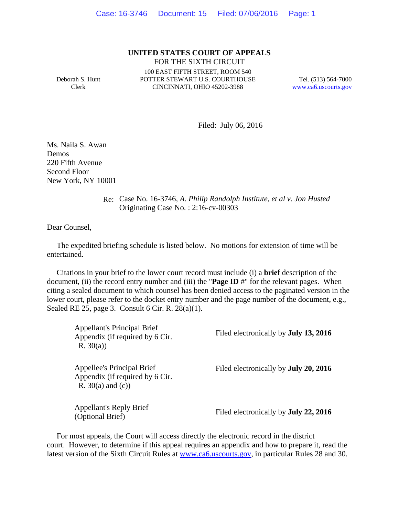#### **UNITED STATES COURT OF APPEALS** FOR THE SIXTH CIRCUIT

Deborah S. Hunt Clerk

100 EAST FIFTH STREET, ROOM 540 POTTER STEWART U.S. COURTHOUSE CINCINNATI, OHIO 45202-3988

Tel. (513) 564-7000 www.ca6.uscourts.gov

Filed: July 06, 2016

Ms. Naila S. Awan Demos 220 Fifth Avenue Second Floor New York, NY 10001

#### Re: Case No. 16-3746*, A. Philip Randolph Institute, et al v. Jon Husted* Originating Case No. : 2:16-cv-00303

Dear Counsel,

The expedited briefing schedule is listed below. No motions for extension of time will be entertained.

 Citations in your brief to the lower court record must include (i) a **brief** description of the document, (ii) the record entry number and (iii) the "**Page ID** #" for the relevant pages. When citing a sealed document to which counsel has been denied access to the paginated version in the lower court, please refer to the docket entry number and the page number of the document, e.g., Sealed RE 25, page 3. Consult 6 Cir. R. 28(a)(1).

| <b>Appellant's Principal Brief</b><br>Appendix (if required by 6 Cir.<br>R. 30(a)    | Filed electronically by <b>July 13, 2016</b> |
|--------------------------------------------------------------------------------------|----------------------------------------------|
| Appellee's Principal Brief<br>Appendix (if required by 6 Cir.<br>R. $30(a)$ and (c)) | Filed electronically by <b>July 20, 2016</b> |
| Appellant's Reply Brief<br>(Optional Brief)                                          | Filed electronically by <b>July 22, 2016</b> |

 For most appeals, the Court will access directly the electronic record in the district court. However, to determine if this appeal requires an appendix and how to prepare it, read the latest version of the Sixth Circuit Rules at www.ca6.uscourts.gov, in particular Rules 28 and 30.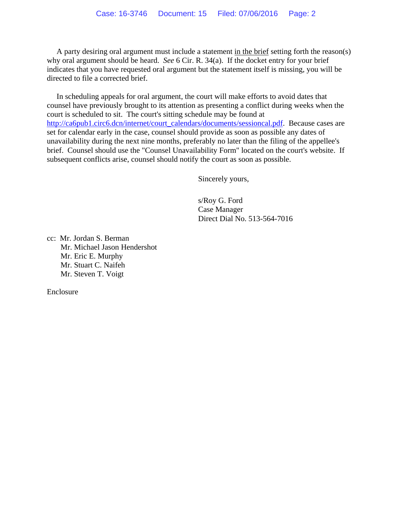A party desiring oral argument must include a statement in the brief setting forth the reason(s) why oral argument should be heard. *See* 6 Cir. R. 34(a). If the docket entry for your brief indicates that you have requested oral argument but the statement itself is missing, you will be directed to file a corrected brief.

 In scheduling appeals for oral argument, the court will make efforts to avoid dates that counsel have previously brought to its attention as presenting a conflict during weeks when the court is scheduled to sit. The court's sitting schedule may be found at http://ca6pub1.circ6.dcn/internet/court\_calendars/documents/sessioncal.pdf. Because cases are set for calendar early in the case, counsel should provide as soon as possible any dates of unavailability during the next nine months, preferably no later than the filing of the appellee's brief. Counsel should use the "Counsel Unavailability Form" located on the court's website. If subsequent conflicts arise, counsel should notify the court as soon as possible.

Sincerely yours,

s/Roy G. Ford Case Manager Direct Dial No. 513-564-7016

cc: Mr. Jordan S. Berman Mr. Michael Jason Hendershot Mr. Eric E. Murphy Mr. Stuart C. Naifeh Mr. Steven T. Voigt

Enclosure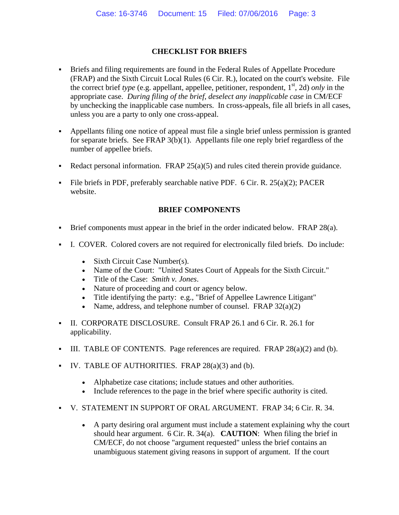## **CHECKLIST FOR BRIEFS**

- Briefs and filing requirements are found in the Federal Rules of Appellate Procedure (FRAP) and the Sixth Circuit Local Rules (6 Cir. R.), located on the court's website. File the correct brief *type* (e.g. appellant, appellee, petitioner, respondent,  $1<sup>st</sup>$ , 2d) *only* in the appropriate case. *During filing of the brief, deselect any inapplicable case* in CM/ECF by unchecking the inapplicable case numbers. In cross-appeals, file all briefs in all cases, unless you are a party to only one cross-appeal.
- Appellants filing one notice of appeal must file a single brief unless permission is granted for separate briefs. See FRAP 3(b)(1). Appellants file one reply brief regardless of the number of appellee briefs.
- Redact personal information. FRAP  $25(a)(5)$  and rules cited therein provide guidance.
- File briefs in PDF, preferably searchable native PDF.  $6$  Cir. R.  $25(a)(2)$ ; PACER website.

### **BRIEF COMPONENTS**

- Brief components must appear in the brief in the order indicated below. FRAP 28(a).
- I. COVER. Colored covers are not required for electronically filed briefs. Do include:
	- Sixth Circuit Case Number(s).
	- Name of the Court: "United States Court of Appeals for the Sixth Circuit."
	- Title of the Case: *Smith v. Jones*.
	- Nature of proceeding and court or agency below.
	- Title identifying the party: e.g., "Brief of Appellee Lawrence Litigant"
	- Name, address, and telephone number of counsel. FRAP  $32(a)(2)$
- II. CORPORATE DISCLOSURE. Consult FRAP 26.1 and 6 Cir. R. 26.1 for applicability.
- III. TABLE OF CONTENTS. Page references are required. FRAP  $28(a)(2)$  and (b).
- $IV.$  TABLE OF AUTHORITIES. FRAP 28(a)(3) and (b).
	- Alphabetize case citations; include statues and other authorities.
	- Include references to the page in the brief where specific authority is cited.
- V. STATEMENT IN SUPPORT OF ORAL ARGUMENT. FRAP 34; 6 Cir. R. 34.
	- A party desiring oral argument must include a statement explaining why the court should hear argument. 6 Cir. R. 34(a). **CAUTION**: When filing the brief in CM/ECF, do not choose "argument requested" unless the brief contains an unambiguous statement giving reasons in support of argument. If the court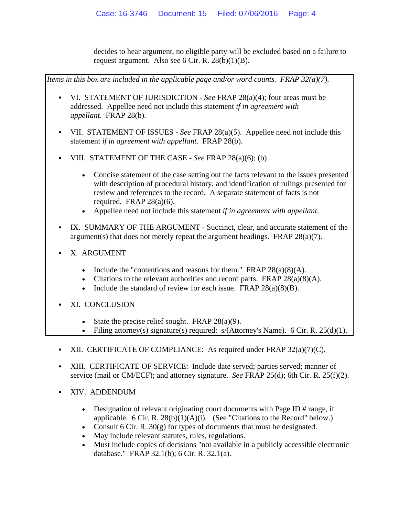decides to hear argument, no eligible party will be excluded based on a failure to request argument. Also see 6 Cir. R. 28(b)(1)(B).



- May include relevant statutes, rules, regulations.
- Must include copies of decisions "not available in a publicly accessible electronic database." FRAP 32.1(b); 6 Cir. R. 32.1(a).